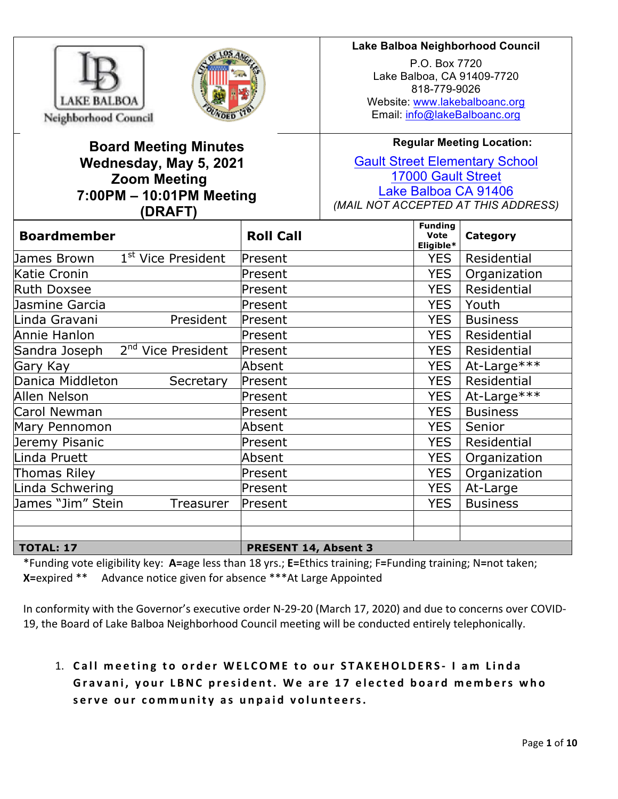

 $\overline{\phantom{a}}$ 



# **Board Meeting Minutes Wednesday, May 5, 2021 Zoom Meeting 7:00PM – 10:01PM Meeting (DRAFT)**

# **Lake Balboa Neighborhood Council**

P.O. Box 7720 Lake Balboa, CA 91409-7720 818-779-9026 Website: www.lakebalboanc.org Email: info@lakeBalboanc.org

**Regular Meeting Location:**

Gault Street Elementary School 17000 Gault Street Lake Balboa CA 91406 *(MAIL NOT ACCEPTED AT THIS ADDRESS)*

| <b>Boardmember</b>                            | <b>Roll Call</b>            | <b>Funding</b><br><b>Vote</b><br>Eligible* | Category        |
|-----------------------------------------------|-----------------------------|--------------------------------------------|-----------------|
| 1 <sup>st</sup> Vice President<br>James Brown | Present                     | <b>YES</b>                                 | Residential     |
| Katie Cronin                                  | Present                     | <b>YES</b>                                 | Organization    |
| <b>Ruth Doxsee</b>                            | Present                     | <b>YES</b>                                 | Residential     |
| Jasmine Garcia                                | Present                     | <b>YES</b>                                 | Youth           |
| President<br>Linda Gravani                    | Present                     | <b>YES</b>                                 | <b>Business</b> |
| Annie Hanlon                                  | Present                     | <b>YES</b>                                 | Residential     |
| $2nd$ Vice President<br>Sandra Joseph         | Present                     | <b>YES</b>                                 | Residential     |
| Gary Kay                                      | Absent                      | <b>YES</b>                                 | At-Large***     |
| Danica Middleton<br>Secretary                 | Present                     | <b>YES</b>                                 | Residential     |
| Allen Nelson                                  | Present                     | <b>YES</b>                                 | At-Large***     |
| Carol Newman                                  | Present                     | <b>YES</b>                                 | <b>Business</b> |
| Mary Pennomon                                 | Absent                      | <b>YES</b>                                 | Senior          |
| Jeremy Pisanic                                | Present                     | <b>YES</b>                                 | Residential     |
| Linda Pruett                                  | Absent                      | <b>YES</b>                                 | Organization    |
| Thomas Riley                                  | Present                     | <b>YES</b>                                 | Organization    |
| Linda Schwering                               | Present                     | <b>YES</b>                                 | At-Large        |
| James "Jim" Stein<br>Treasurer                | Present                     | <b>YES</b>                                 | <b>Business</b> |
|                                               |                             |                                            |                 |
|                                               |                             |                                            |                 |
| <b>TOTAL: 17</b>                              | <b>PRESENT 14, Absent 3</b> |                                            |                 |

\*Funding vote eligibility key: **A=**age less than 18 yrs.; **E=**Ethics training; F**=**Funding training; N**=**not taken; **X**=expired \*\* Advance notice given for absence \*\*\*At Large Appointed

In conformity with the Governor's executive order N-29-20 (March 17, 2020) and due to concerns over COVID-19, the Board of Lake Balboa Neighborhood Council meeting will be conducted entirely telephonically.

# 1. Call meeting to order WELCOME to our STAKEHOLDERS- I am Linda Gravani, your LBNC president. We are 17 elected board members who serve our community as unpaid volunteers.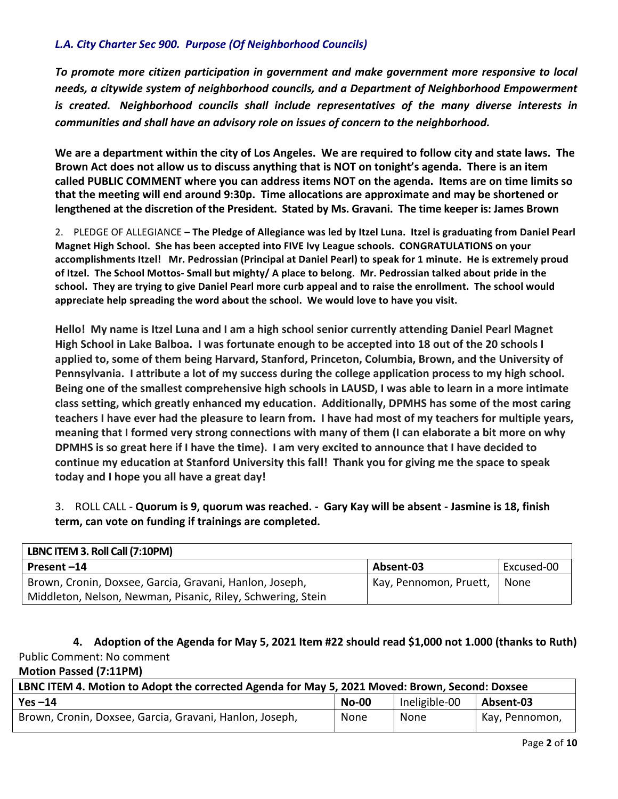# *L.A. City Charter Sec 900. Purpose (Of Neighborhood Councils)*

To promote more citizen participation in government and make government more responsive to local needs, a citywide system of neighborhood councils, and a Department of Neighborhood Empowerment *is* created. Neighborhood councils shall include representatives of the many diverse interests in *communities* and shall have an advisory role on issues of concern to the neighborhood.

We are a department within the city of Los Angeles. We are required to follow city and state laws. The Brown Act does not allow us to discuss anything that is NOT on tonight's agenda. There is an item called PUBLIC COMMENT where you can address items NOT on the agenda. Items are on time limits so that the meeting will end around 9:30p. Time allocations are approximate and may be shortened or **lengthened at the discretion of the President. Stated by Ms. Gravani. The time keeper is: James Brown**

2. PLEDGE OF ALLEGIANCE – The Pledge of Allegiance was led by Itzel Luna. Itzel is graduating from Daniel Pearl **Magnet High School. She has been accepted into FIVE Ivy League schools. CONGRATULATIONS on your** accomplishments Itzel! Mr. Pedrossian (Principal at Daniel Pearl) to speak for 1 minute. He is extremely proud of Itzel. The School Mottos- Small but mighty/ A place to belong. Mr. Pedrossian talked about pride in the school. They are trying to give Daniel Pearl more curb appeal and to raise the enrollment. The school would appreciate help spreading the word about the school. We would love to have you visit.

Hello! My name is Itzel Luna and I am a high school senior currently attending Daniel Pearl Magnet High School in Lake Balboa. I was fortunate enough to be accepted into 18 out of the 20 schools I applied to, some of them being Harvard, Stanford, Princeton, Columbia, Brown, and the University of **Pennsylvania.** I attribute a lot of my success during the college application process to my high school. Being one of the smallest comprehensive high schools in LAUSD, I was able to learn in a more intimate class setting, which greatly enhanced my education. Additionally, DPMHS has some of the most caring **teachers I have ever had the pleasure to learn from.** I have had most of my teachers for multiple years, meaning that I formed very strong connections with many of them (I can elaborate a bit more on why **DPMHS** is so great here if I have the time). I am very excited to announce that I have decided to continue my education at Stanford University this fall! Thank you for giving me the space to speak today and I hope you all have a great day!

3. ROLL CALL - **Quorum is 9, quorum was reached. - Gary Kay will be absent - Jasmine is 18, finish term, can vote on funding if trainings are completed.** 

| LBNC ITEM 3. Roll Call (7:10PM)                             |                        |            |
|-------------------------------------------------------------|------------------------|------------|
| Present-14                                                  | Absent-03              | Excused-00 |
| Brown, Cronin, Doxsee, Garcia, Gravani, Hanlon, Joseph,     | Kay, Pennomon, Pruett, | None       |
| Middleton, Nelson, Newman, Pisanic, Riley, Schwering, Stein |                        |            |

**4. Adoption of the Agenda for May 5, 2021 Item #22 should read \$1,000 not 1.000 (thanks to Ruth)** Public Comment: No comment

**Motion Passed (7:11PM)**

| LBNC ITEM 4. Motion to Adopt the corrected Agenda for May 5, 2021 Moved: Brown, Second: Doxsee |              |               |                |  |  |
|------------------------------------------------------------------------------------------------|--------------|---------------|----------------|--|--|
| $Yes -14$                                                                                      | <b>No-00</b> | Ineligible-00 | Absent-03      |  |  |
| Brown, Cronin, Doxsee, Garcia, Gravani, Hanlon, Joseph,                                        | None         | None          | Kay, Pennomon, |  |  |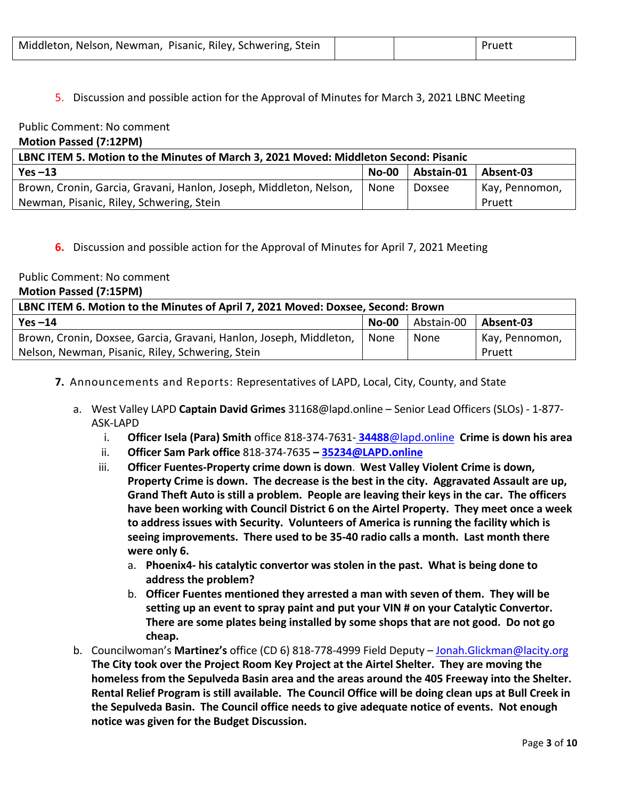5. Discussion and possible action for the Approval of Minutes for March 3, 2021 LBNC Meeting

#### Public Comment: No comment **Motion Passed (7:12PM)**

| LBNC ITEM 5. Motion to the Minutes of March 3, 2021 Moved: Middleton Second: Pisanic |              |            |                |  |  |
|--------------------------------------------------------------------------------------|--------------|------------|----------------|--|--|
| Yes $-13$                                                                            | <b>No-00</b> | Abstain-01 | Absent-03      |  |  |
| Brown, Cronin, Garcia, Gravani, Hanlon, Joseph, Middleton, Nelson,                   | None         | Doxsee     | Kay, Pennomon, |  |  |
| Newman, Pisanic, Riley, Schwering, Stein                                             |              |            | Pruett         |  |  |

# **6.** Discussion and possible action for the Approval of Minutes for April 7, 2021 Meeting

### Public Comment: No comment

| <b>Motion Passed (7:15PM)</b> |  |
|-------------------------------|--|
|-------------------------------|--|

| LBNC ITEM 6. Motion to the Minutes of April 7, 2021 Moved: Doxsee, Second: Brown |              |            |                |  |  |
|----------------------------------------------------------------------------------|--------------|------------|----------------|--|--|
| Yes $-14$                                                                        | <b>No-00</b> | Abstain-00 | Absent-03      |  |  |
| Brown, Cronin, Doxsee, Garcia, Gravani, Hanlon, Joseph, Middleton,               | None         | None       | Kay, Pennomon, |  |  |
| Nelson, Newman, Pisanic, Riley, Schwering, Stein                                 |              |            | Pruett         |  |  |

- **7.** Announcements and Reports: Representatives of LAPD, Local, City, County, and State
	- a. West Valley LAPD **Captain David Grimes** 31168@lapd.online Senior Lead Officers (SLOs) 1-877-ASK-LAPD
		- **i. Officer Isela (Para) Smith** office 818-374-7631- **34488**@lapd.online **Crime is down his area**
		- ii. **Officer Sam Park office** 818-374-7635 **35234@LAPD.online**
		- iii. **Officer Fuentes-Property crime down is down. West Valley Violent Crime is down, Property Crime is down.** The decrease is the best in the city. Aggravated Assault are up, **Grand Theft Auto is still a problem.** People are leaving their keys in the car. The officers have been working with Council District 6 on the Airtel Property. They meet once a week to address issues with Security. Volunteers of America is running the facility which is **seeing improvements.** There used to be 35-40 radio calls a month. Last month there were only 6.
			- a. Phoenix4- his catalytic convertor was stolen in the past. What is being done to address the problem?
			- b. Officer Fuentes mentioned they arrested a man with seven of them. They will be setting up an event to spray paint and put your VIN # on your Catalytic Convertor. **There are some plates being installed by some shops that are not good.** Do not go **cheap.**
	- b. Councilwoman's **Martinez's** office (CD 6) 818-778-4999 Field Deputy Jonah.Glickman@lacity.org The City took over the Project Room Key Project at the Airtel Shelter. They are moving the homeless from the Sepulveda Basin area and the areas around the 405 Freeway into the Shelter. Rental Relief Program is still available. The Council Office will be doing clean ups at Bull Creek in **the Sepulveda Basin. The Council office needs to give adequate notice of events. Not enough notice was given for the Budget Discussion.**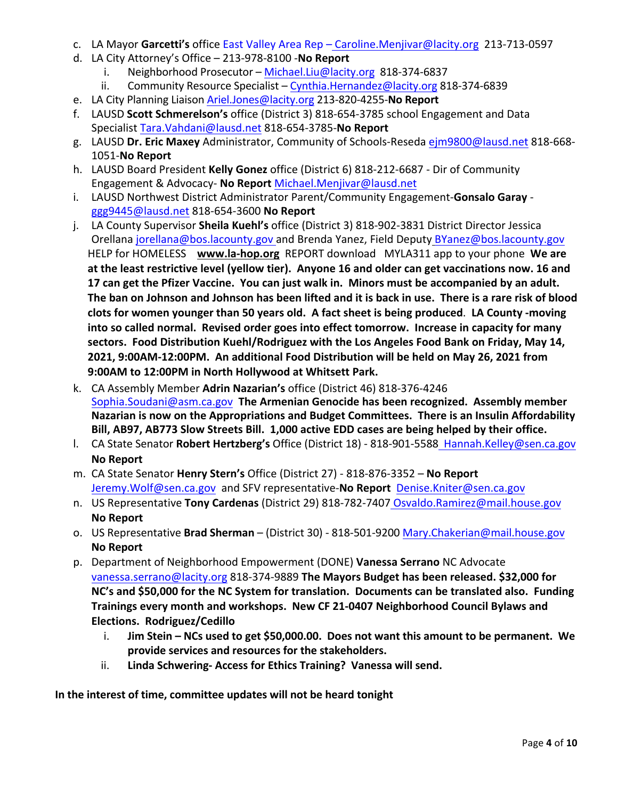- c. LA Mayor Garcetti's office East Valley Area Rep Caroline.Menjivar@lacity.org 213-713-0597
- d. LA City Attorney's Office – 213-978-8100 -**No Report**
	- i. Neighborhood Prosecutor Michael.Liu@lacity.org 818-374-6837
	- ii. Community Resource Specialist Cynthia.Hernandez@lacity.org 818-374-6839
- e. LA City Planning Liaison Ariel.Jones@lacity.org 213-820-4255-No Report
- f. LAUSD Scott Schmerelson's office (District 3) 818-654-3785 school Engagement and Data Specialist Tara.Vahdani@lausd.net 818-654-3785-**No Report**
- g. LAUSD Dr. Eric Maxey Administrator, Community of Schools-Reseda ejm9800@lausd.net 818-668-1051-**No Report**
- h. LAUSD Board President **Kelly Gonez** office (District 6) 818-212-6687 Dir of Community Engagement & Advocacy- **No Report** Michael.Menjivar@lausd.net
- i. LAUSD Northwest District Administrator Parent/Community Engagement-Gonsalo Garay ggg9445@lausd.net 818-654-3600 **No Report**
- j. LA County Supervisor **Sheila Kuehl's** office (District 3) 818-902-3831 District Director Jessica Orellana jorellana@bos.lacounty.gov and Brenda Yanez, Field Deputy BYanez@bos.lacounty.gov HELP for HOMELESS www.la-hop.org REPORT download MYLA311 app to your phone We are at the least restrictive level (yellow tier). Anyone 16 and older can get vaccinations now. 16 and 17 can get the Pfizer Vaccine. You can just walk in. Minors must be accompanied by an adult. The ban on Johnson and Johnson has been lifted and it is back in use. There is a rare risk of blood clots for women younger than 50 years old. A fact sheet is being produced. LA County -moving into so called normal. Revised order goes into effect tomorrow. Increase in capacity for many sectors. Food Distribution Kuehl/Rodriguez with the Los Angeles Food Bank on Friday, May 14, 2021, 9:00AM-12:00PM. An additional Food Distribution will be held on May 26, 2021 from **9:00AM to 12:00PM in North Hollywood at Whitsett Park.**
- k. CA Assembly Member **Adrin Nazarian's** office (District 46) 818-376-4246 Sophia.Soudani@asm.ca.gov The Armenian Genocide has been recognized. Assembly member **Nazarian is now on the Appropriations and Budget Committees. There is an Insulin Affordability Bill, AB97, AB773 Slow Streets Bill. 1,000 active EDD cases are being helped by their office.**
- l. CA State Senator **Robert Hertzberg's** Office (District 18) 818-901-5588 Hannah.Kelley@sen.ca.gov **No Report**
- m. CA State Senator **Henry Stern's** Office (District 27) - 818-876-3352 – **No Report** Jeremy.Wolf@sen.ca.gov and SFV representative-No Report Denise.Kniter@sen.ca.gov
- n. US Representative **Tony Cardenas** (District 29) 818-782-7407 Osvaldo.Ramirez@mail.house.gov **No Report**
- o. US Representative **Brad Sherman** (District 30) 818-501-9200 Mary.Chakerian@mail.house.gov **No Report**
- p. Department of Neighborhood Empowerment (DONE) **Vanessa Serrano** NC Advocate vanessa.serrano@lacity.org 818-374-9889 The Mayors Budget has been released. \$32,000 for **NC's and \$50,000 for the NC System for translation. Documents can be translated also. Funding** Trainings every month and workshops. New CF 21-0407 Neighborhood Council Bylaws and **Elections. Rodriguez/Cedillo**
	- i. Jim Stein NCs used to get \$50,000.00. Does not want this amount to be permanent. We provide services and resources for the stakeholders.
	- ii. **Linda Schwering-Access for Ethics Training? Vanessa will send.**

In the interest of time, committee updates will not be heard tonight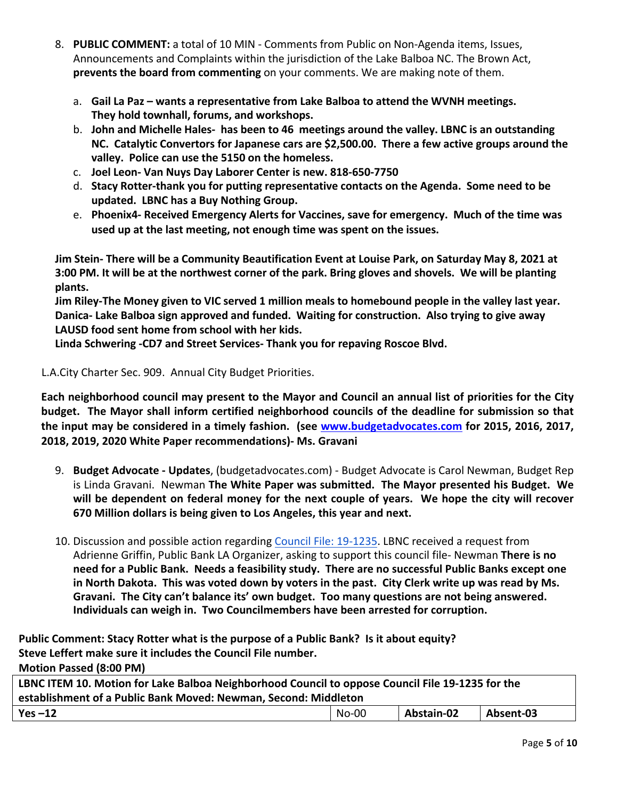- 8. **PUBLIC COMMENT:** a total of 10 MIN Comments from Public on Non-Agenda items, Issues, Announcements and Complaints within the jurisdiction of the Lake Balboa NC. The Brown Act, **prevents the board from commenting** on your comments. We are making note of them.
	- a. Gail La Paz wants a representative from Lake Balboa to attend the WVNH meetings. **They hold townhall, forums, and workshops.**
	- b. **John and Michelle Hales- has been to 46 meetings around the valley. LBNC is an outstanding NC. Catalytic Convertors for Japanese cars are \$2,500.00. There a few active groups around the**  valley. Police can use the 5150 on the homeless.
	- c. **Joel Leon- Van Nuys Day Laborer Center is new. 818-650-7750**
	- d. **Stacy Rotter-thank you for putting representative contacts on the Agenda. Some need to be updated. LBNC has a Buy Nothing Group.**
	- e. Phoenix4- Received Emergency Alerts for Vaccines, save for emergency. Much of the time was used up at the last meeting, not enough time was spent on the issues.

**Jim Stein- There will be a Community Beautification Event at Louise Park, on Saturday May 8, 2021 at 3:00 PM.** It will be at the northwest corner of the park. Bring gloves and shovels. We will be planting **plants.**

**Jim Riley-The Money given to VIC served 1 million meals to homebound people in the valley last year.** Danica- Lake Balboa sign approved and funded. Waiting for construction. Also trying to give away LAUSD food sent home from school with her kids.

Linda Schwering -CD7 and Street Services- Thank you for repaving Roscoe Blvd.

L.A.City Charter Sec. 909. Annual City Budget Priorities.

Each neighborhood council may present to the Mayor and Council an annual list of priorities for the City budget. The Mayor shall inform certified neighborhood councils of the deadline for submission so that **the input may be considered in a timely fashion.** (see www.budgetadvocates.com for 2015, 2016, 2017, 2018, 2019, 2020 White Paper recommendations)- Ms. Gravani

- 9. **Budget Advocate Updates**, (budgetadvocates.com) Budget Advocate is Carol Newman, Budget Rep is Linda Gravani. Newman The White Paper was submitted. The Mayor presented his Budget. We will be dependent on federal money for the next couple of years. We hope the city will recover **670 Million dollars is being given to Los Angeles, this year and next.**
- 10. Discussion and possible action regarding Council File: 19-1235. LBNC received a request from Adrienne Griffin, Public Bank LA Organizer, asking to support this council file- Newman There is no need for a Public Bank. Needs a feasibility study. There are no successful Public Banks except one in North Dakota. This was voted down by voters in the past. City Clerk write up was read by Ms. Gravani. The City can't balance its' own budget. Too many questions are not being answered. Individuals can weigh in. Two Councilmembers have been arrested for corruption.

Public Comment: Stacy Rotter what is the purpose of a Public Bank? Is it about equity? **Steve Leffert make sure it includes the Council File number. Motion Passed (8:00 PM)**

| LBNC ITEM 10. Motion for Lake Balboa Neighborhood Council to oppose Council File 19-1235 for the |  |  |  |  |  |
|--------------------------------------------------------------------------------------------------|--|--|--|--|--|
| establishment of a Public Bank Moved: Newman, Second: Middleton                                  |  |  |  |  |  |
| Abstain-02<br>Absent-03<br>No-00<br>Yes $-12$                                                    |  |  |  |  |  |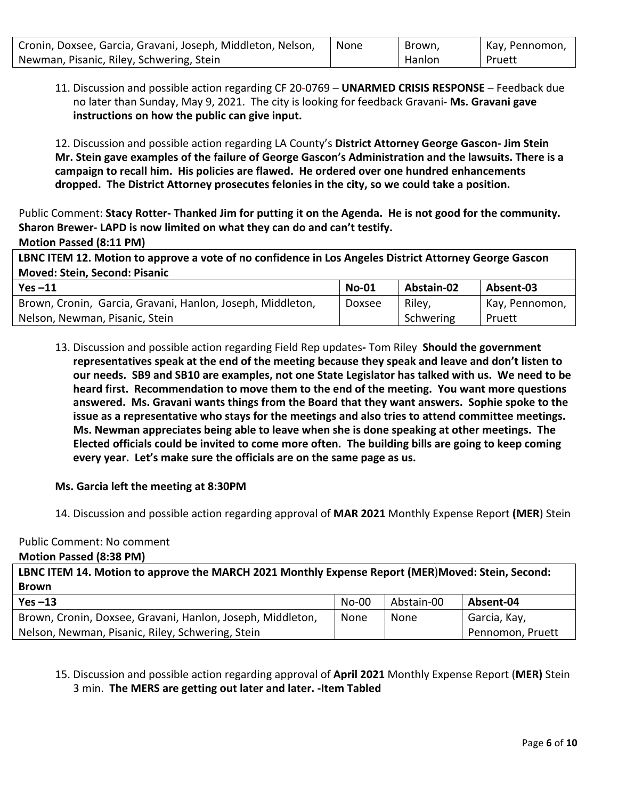| Cronin, Doxsee, Garcia, Gravani, Joseph, Middleton, Nelson, | None | Brown, | Kay, Pennomon, |
|-------------------------------------------------------------|------|--------|----------------|
| Newman, Pisanic, Riley, Schwering, Stein                    |      | Hanlon | Pruett         |

11. Discussion and possible action regarding CF 20-0769 - UNARMED CRISIS RESPONSE - Feedback due no later than Sunday, May 9, 2021. The city is looking for feedback Gravani- Ms. Gravani gave **instructions on how the public can give input.** 

12. Discussion and possible action regarding LA County's District Attorney George Gascon- Jim Stein Mr. Stein gave examples of the failure of George Gascon's Administration and the lawsuits. There is a campaign to recall him. His policies are flawed. He ordered over one hundred enhancements **dropped. The District Attorney prosecutes felonies in the city, so we could take a position.**

Public Comment: Stacy Rotter- Thanked Jim for putting it on the Agenda. He is not good for the community. Sharon Brewer- LAPD is now limited on what they can do and can't testify.

**Motion Passed (8:11 PM)**

**LBNC ITEM 12. Motion to approve a vote of no confidence in Los Angeles District Attorney George Gascon Moved: Stein, Second: Pisanic**

| Yes $-11$                                                  | <b>No-01</b> | Abstain-02 | Absent-03      |
|------------------------------------------------------------|--------------|------------|----------------|
| Brown, Cronin, Garcia, Gravani, Hanlon, Joseph, Middleton, | Doxsee       | Riley,     | Kay, Pennomon, |
| Nelson, Newman, Pisanic, Stein                             |              | Schwering  | Pruett         |

13. Discussion and possible action regarding Field Rep updates- Tom Riley **Should the government** representatives speak at the end of the meeting because they speak and leave and don't listen to **our needs.** SB9 and SB10 are examples, not one State Legislator has talked with us. We need to be **heard first.** Recommendation to move them to the end of the meeting. You want more questions answered. Ms. Gravani wants things from the Board that they want answers. Sophie spoke to the issue as a representative who stays for the meetings and also tries to attend committee meetings. **Ms. Newman appreciates being able to leave when she is done speaking at other meetings. The** Elected officials could be invited to come more often. The building bills are going to keep coming **every year.** Let's make sure the officials are on the same page as us.

# **Ms. Garcia left the meeting at 8:30PM**

14. Discussion and possible action regarding approval of **MAR 2021** Monthly Expense Report **(MER**) Stein

#### Public Comment: No comment

**Motion Passed (8:38 PM)**

**LBNC ITEM 14. Motion to approve the MARCH 2021 Monthly Expense Report (MER**)**Moved: Stein, Second: Brown**

| $Yes -13$                                                  | $No-00$ | Abstain-00 | Absent-04        |
|------------------------------------------------------------|---------|------------|------------------|
| Brown, Cronin, Doxsee, Gravani, Hanlon, Joseph, Middleton, | None    | None       | Garcia, Kay,     |
| Nelson, Newman, Pisanic, Riley, Schwering, Stein           |         |            | Pennomon, Pruett |

# 15. Discussion and possible action regarding approval of **April 2021** Monthly Expense Report (MER) Stein 3 min. **The MERS are getting out later and later. -Item Tabled**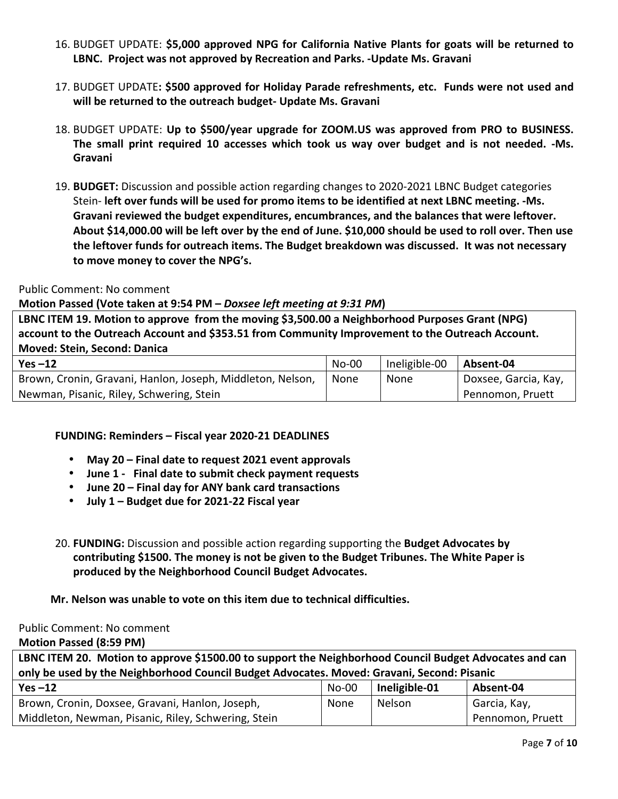- 16. BUDGET UPDATE: \$5,000 approved NPG for California Native Plants for goats will be returned to LBNC. Project was not approved by Recreation and Parks. -Update Ms. Gravani
- 17. BUDGET UPDATE: \$500 approved for Holiday Parade refreshments, etc. Funds were not used and will be returned to the outreach budget- Update Ms. Gravani
- 18. BUDGET UPDATE: Up to \$500/year upgrade for ZOOM.US was approved from PRO to BUSINESS. The small print required 10 accesses which took us way over budget and is not needed. -Ms. **Gravani**
- 19. **BUDGET:** Discussion and possible action regarding changes to 2020-2021 LBNC Budget categories Stein- left over funds will be used for promo items to be identified at next LBNC meeting. -Ms. Gravani reviewed the budget expenditures, encumbrances, and the balances that were leftover. About \$14,000.00 will be left over by the end of June. \$10,000 should be used to roll over. Then use the leftover funds for outreach items. The Budget breakdown was discussed. It was not necessary to move money to cover the NPG's.

#### Public Comment: No comment

### **Motion Passed (Vote taken at 9:54 PM – Doxsee left meeting at 9:31 PM)**

LBNC ITEM 19. Motion to approve from the moving \$3,500.00 a Neighborhood Purposes Grant (NPG) account to the Outreach Account and \$353.51 from Community Improvement to the Outreach Account. **Moved: Stein, Second: Danica** 

| $Yes -12$                                                  | $No-00$ | Ineligible-00 | Absent-04                         |
|------------------------------------------------------------|---------|---------------|-----------------------------------|
| Brown, Cronin, Gravani, Hanlon, Joseph, Middleton, Nelson, | None    | None          | <sup>1</sup> Doxsee, Garcia, Kay, |
| Newman, Pisanic, Riley, Schwering, Stein                   |         |               | Pennomon, Pruett                  |

# **FUNDING: Reminders – Fiscal year 2020-21 DEADLINES**

- **May 20 – Final date to request 2021 event approvals**
- June 1 Final date to submit check payment requests
- **June 20 – Final day for ANY bank card transactions**
- **July 1 – Budget due for 2021-22 Fiscal year**
- 20. **FUNDING:** Discussion and possible action regarding supporting the **Budget Advocates by** contributing \$1500. The money is not be given to the Budget Tribunes. The White Paper is produced by the Neighborhood Council Budget Advocates.

# **Mr. Nelson was unable to vote on this item due to technical difficulties.**

#### Public Comment: No comment

**Motion Passed (8:59 PM)**

| LBNC ITEM 20. Motion to approve \$1500.00 to support the Neighborhood Council Budget Advocates and can |                                       |               |                  |  |  |  |
|--------------------------------------------------------------------------------------------------------|---------------------------------------|---------------|------------------|--|--|--|
| only be used by the Neighborhood Council Budget Advocates. Moved: Gravani, Second: Pisanic             |                                       |               |                  |  |  |  |
| Yes $-12$                                                                                              | Ineligible-01<br>Absent-04<br>$No-00$ |               |                  |  |  |  |
| Brown, Cronin, Doxsee, Gravani, Hanlon, Joseph,                                                        | <b>None</b>                           | <b>Nelson</b> | Garcia, Kay,     |  |  |  |
| Middleton, Newman, Pisanic, Riley, Schwering, Stein                                                    |                                       |               | Pennomon, Pruett |  |  |  |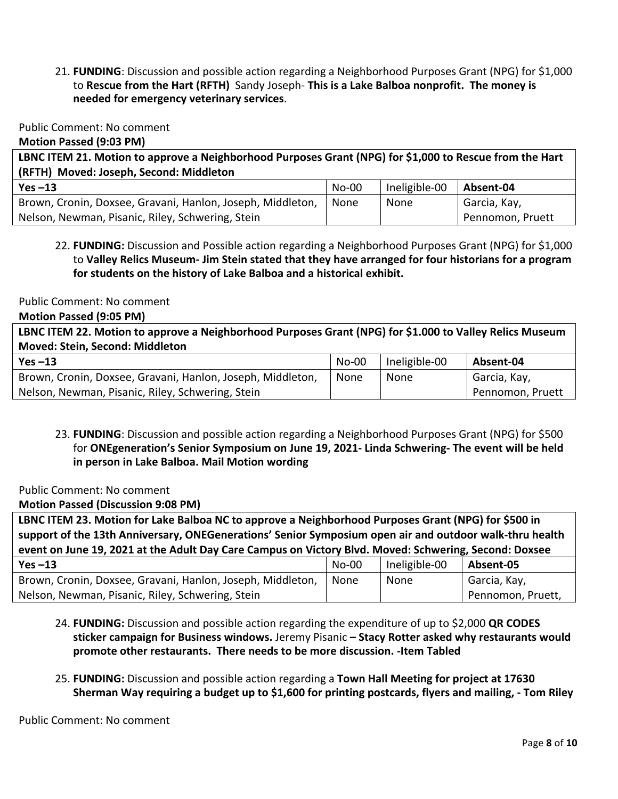21. **FUNDING**: Discussion and possible action regarding a Neighborhood Purposes Grant (NPG) for \$1,000 to Rescue from the Hart (RFTH) Sandy Joseph- This is a Lake Balboa nonprofit. The money is **needed for emergency veterinary services**.

Public Comment: No comment

**Motion Passed (9:03 PM)**

LBNC ITEM 21. Motion to approve a Neighborhood Purposes Grant (NPG) for \$1,000 to Rescue from the Hart **(RFTH) Moved: Joseph, Second: Middleton**

| $Yes -13$                                                  | $No-00$ | Ineligible-00 | Absent-04        |
|------------------------------------------------------------|---------|---------------|------------------|
| Brown, Cronin, Doxsee, Gravani, Hanlon, Joseph, Middleton, | None    | None          | Garcia, Kay,     |
| Nelson, Newman, Pisanic, Riley, Schwering, Stein           |         |               | Pennomon, Pruett |

# 22. **FUNDING:** Discussion and Possible action regarding a Neighborhood Purposes Grant (NPG) for \$1,000 to **Valley Relics Museum- Jim Stein stated that they have arranged for four historians for a program**  for students on the history of Lake Balboa and a historical exhibit.

Public Comment: No comment

**Motion Passed (9:05 PM)**

LBNC ITEM 22. Motion to approve a Neighborhood Purposes Grant (NPG) for \$1.000 to Valley Relics Museum **Moved: Stein, Second: Middleton**

| $Yes -13$                                                  | $No-00$ | Ineligible-00 | Absent-04        |
|------------------------------------------------------------|---------|---------------|------------------|
| Brown, Cronin, Doxsee, Gravani, Hanlon, Joseph, Middleton, | None    | None          | Garcia, Kay,     |
| Nelson, Newman, Pisanic, Riley, Schwering, Stein           |         |               | Pennomon, Pruett |

23. **FUNDING**: Discussion and possible action regarding a Neighborhood Purposes Grant (NPG) for \$500 for ONEgeneration's Senior Symposium on June 19, 2021- Linda Schwering- The event will be held **in person in Lake Balboa. Mail Motion wording** 

Public Comment: No comment

**Motion Passed (Discussion 9:08 PM)**

LBNC ITEM 23. Motion for Lake Balboa NC to approve a Neighborhood Purposes Grant (NPG) for \$500 in support of the 13th Anniversary, ONEGenerations' Senior Symposium open air and outdoor walk-thru health **event on June 19, 2021 at the Adult Day Care Campus on Victory Blvd. Moved: Schwering, Second: Doxsee** 

| $Yes -13$                                                  | $No-00$ | Ineligible-00 | Absent-05         |
|------------------------------------------------------------|---------|---------------|-------------------|
| Brown, Cronin, Doxsee, Gravani, Hanlon, Joseph, Middleton, | l None  | None          | Garcia, Kay,      |
| Nelson, Newman, Pisanic, Riley, Schwering, Stein           |         |               | Pennomon, Pruett, |

- 24. **FUNDING:** Discussion and possible action regarding the expenditure of up to \$2,000 **QR CODES sticker campaign for Business windows.** Jeremy Pisanic – **Stacy Rotter asked why restaurants would** promote other restaurants. There needs to be more discussion. -Item Tabled
- 25. **FUNDING:** Discussion and possible action regarding a **Town Hall Meeting for project at 17630 Sherman Way requiring a budget up to \$1,600 for printing postcards, flyers and mailing, - Tom Riley**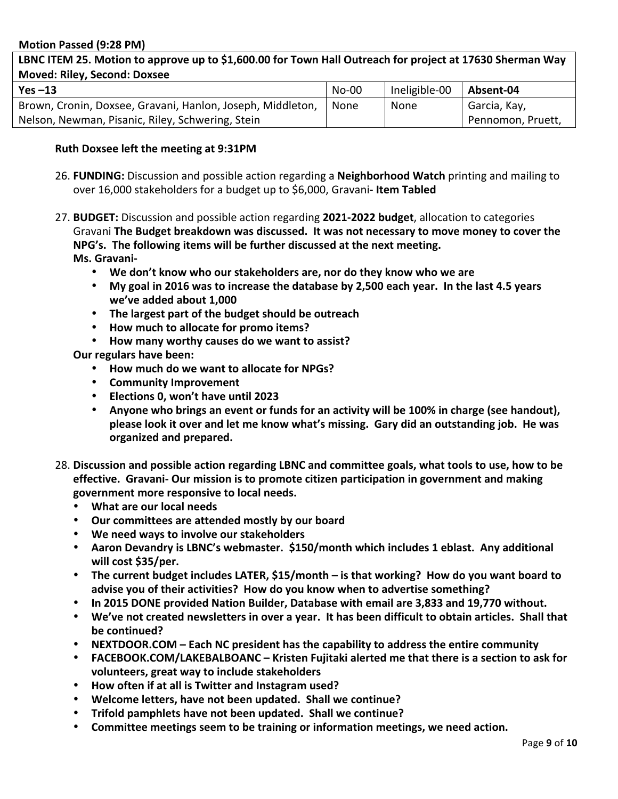#### **Motion Passed (9:28 PM)**

### LBNC ITEM 25. Motion to approve up to \$1,600.00 for Town Hall Outreach for project at 17630 Sherman Way **Moved: Riley, Second: Doxsee**

| $Yes -13$                                                  | $No-00$ | Ineligible-00 | Absent-04         |
|------------------------------------------------------------|---------|---------------|-------------------|
| Brown, Cronin, Doxsee, Gravani, Hanlon, Joseph, Middleton, | None    | None          | Garcia, Kay,      |
| Nelson, Newman, Pisanic, Riley, Schwering, Stein           |         |               | Pennomon, Pruett, |

#### **Ruth Doxsee left the meeting at 9:31PM**

- 26. **FUNDING:** Discussion and possible action regarding a **Neighborhood Watch** printing and mailing to over 16,000 stakeholders for a budget up to \$6,000, Gravani- Item Tabled
- 27. **BUDGET:** Discussion and possible action regarding 2021-2022 budget, allocation to categories Gravani The Budget breakdown was discussed. It was not necessary to move money to cover the **NPG's.** The following items will be further discussed at the next meeting. **Ms. Gravani-**
	- We don't know who our stakeholders are, nor do they know who we are
	- My goal in 2016 was to increase the database by 2,500 each year. In the last 4.5 years **we've added about 1,000**
	- The largest part of the budget should be outreach
	- **How much to allocate for promo items?**
	- How many worthy causes do we want to assist?

**Our regulars have been:** 

- **How much do we want to allocate for NPGs?**
- **Community Improvement**
- **Elections 0, won't have until 2023**
- Anyone who brings an event or funds for an activity will be 100% in charge (see handout), please look it over and let me know what's missing. Gary did an outstanding job. He was **organized and prepared.**
- 28. Discussion and possible action regarding LBNC and committee goals, what tools to use, how to be **effective.** Gravani- Our mission is to promote citizen participation in government and making government more responsive to local needs.
	- **What are our local needs**
	- **Our committees are attended mostly by our board**
	- **We need ways to involve our stakeholders**
	- Aaron Devandry is LBNC's webmaster. \$150/month which includes 1 eblast. Any additional will cost \$35/per.
	- The current budget includes LATER, \$15/month is that working? How do you want board to advise you of their activities? How do you know when to advertise something?
	- **In 2015 DONE provided Nation Builder, Database with email are 3,833 and 19,770 without.**
	- We've not created newsletters in over a year. It has been difficult to obtain articles. Shall that **be** continued?
	- NEXTDOOR.COM Each NC president has the capability to address the entire community
	- FACEBOOK.COM/LAKEBALBOANC Kristen Fujitaki alerted me that there is a section to ask for volunteers, great way to include stakeholders
	- **How often if at all is Twitter and Instagram used?**
	- **Welcome letters, have not been updated. Shall we continue?**
	- **Trifold pamphlets have not been updated. Shall we continue?**
	- Committee meetings seem to be training or information meetings, we need action.